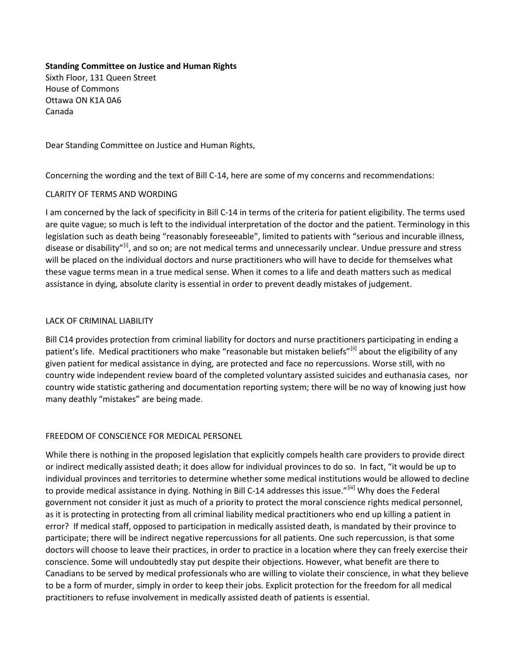### **Standing Committee on Justice and Human Rights**

Sixth Floor, 131 Queen Street House of Commons Ottawa ON K1A 0A6 Canada

Dear Standing Committee on Justice and Human Rights,

Concerning the wording and the text of Bill C-14, here are some of my concerns and recommendations:

# CLARITY OF TERMS AND WORDING

I am concerned by the lack of specificity in Bill C-14 in terms of the criteria for patient eligibility. The terms used are quite vague; so much is left to the individual interpretation of the doctor and the patient. Terminology in this legislation such as death being "reasonably foreseeable", limited to patients with "serious and incurable illness, disease or disability"<sup>[i]</sup>, and so on; are not medical terms and unnecessarily unclear. Undue pressure and stress will be placed on the individual doctors and nurse practitioners who will have to decide for themselves what these vague terms mean in a true medical sense. When it comes to a life and death matters such as medical assistance in dying, absolute clarity is essential in order to prevent deadly mistakes of judgement.

# LACK OF CRIMINAL LIABILITY

Bill C14 provides protection from criminal liability for doctors and nurse practitioners participating in ending a patient's life. Medical practitioners who make "reasonable but mistaken beliefs"[\[ii\]](#page-1-1) about the eligibility of any given patient for medical assistance in dying, are protected and face no repercussions. Worse still, with no country wide independent review board of the completed voluntary assisted suicides and euthanasia cases, nor country wide statistic gathering and documentation reporting system; there will be no way of knowing just how many deathly "mistakes" are being made.

# FREEDOM OF CONSCIENCE FOR MEDICAL PERSONEL

While there is nothing in the proposed legislation that explicitly compels health care providers to provide direct or indirect medically assisted death; it does allow for individual provinces to do so. In fact, "it would be up to individual provinces and territories to determine whether some medical institutions would be allowed to decline to provide medical assistance in dying. Nothing in Bill C-14 addresses this issue."[\[iii\]](#page-1-2) Why does the Federal government not consider it just as much of a priority to protect the moral conscience rights medical personnel, as it is protecting in protecting from all criminal liability medical practitioners who end up killing a patient in error? If medical staff, opposed to participation in medically assisted death, is mandated by their province to participate; there will be indirect negative repercussions for all patients. One such repercussion, is that some doctors will choose to leave their practices, in order to practice in a location where they can freely exercise their conscience. Some will undoubtedly stay put despite their objections. However, what benefit are there to Canadians to be served by medical professionals who are willing to violate their conscience, in what they believe to be a form of murder, simply in order to keep their jobs. Explicit protection for the freedom for all medical practitioners to refuse involvement in medically assisted death of patients is essential.